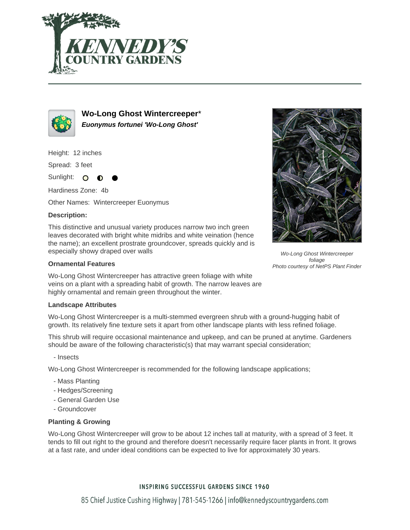



**Wo-Long Ghost Wintercreeper**\* **Euonymus fortunei 'Wo-Long Ghost'**

Height: 12 inches

Spread: 3 feet

Sunlight: O ∩

Hardiness Zone: 4b

Other Names: Wintercreeper Euonymus

# **Description:**

This distinctive and unusual variety produces narrow two inch green leaves decorated with bright white midribs and white veination (hence the name); an excellent prostrate groundcover, spreads quickly and is especially showy draped over walls

### **Ornamental Features**

Wo-Long Ghost Wintercreeper has attractive green foliage with white veins on a plant with a spreading habit of growth. The narrow leaves are highly ornamental and remain green throughout the winter.

#### **Landscape Attributes**

Wo-Long Ghost Wintercreeper is a multi-stemmed evergreen shrub with a ground-hugging habit of growth. Its relatively fine texture sets it apart from other landscape plants with less refined foliage.

This shrub will require occasional maintenance and upkeep, and can be pruned at anytime. Gardeners should be aware of the following characteristic(s) that may warrant special consideration;

- Insects

Wo-Long Ghost Wintercreeper is recommended for the following landscape applications;

- Mass Planting
- Hedges/Screening
- General Garden Use
- Groundcover

## **Planting & Growing**

Wo-Long Ghost Wintercreeper will grow to be about 12 inches tall at maturity, with a spread of 3 feet. It tends to fill out right to the ground and therefore doesn't necessarily require facer plants in front. It grows at a fast rate, and under ideal conditions can be expected to live for approximately 30 years.

## **INSPIRING SUCCESSFUL GARDENS SINCE 1960**



Wo-Long Ghost Wintercreeper foliage Photo courtesy of NetPS Plant Finder